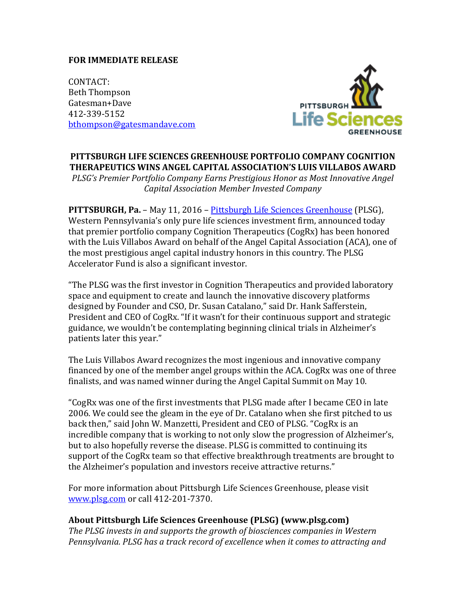## **FOR IMMEDIATE RELEASE**

CONTACT: Beth Thompson Gatesman+Dave 412-339-5152 [bthompson@gatesmandave.com](mailto:bthompson@gatesmandave.com)



## **PITTSBURGH LIFE SCIENCES GREENHOUSE PORTFOLIO COMPANY COGNITION THERAPEUTICS WINS ANGEL CAPITAL ASSOCIATION'S LUIS VILLABOS AWARD**

*PLSG's Premier Portfolio Company Earns Prestigious Honor as Most Innovative Angel Capital Association Member Invested Company*

**PITTSBURGH, Pa.** – May 11, 2016 – [Pittsburgh Life Sciences Greenhouse](http://www.plsg.com/home-page-2/) (PLSG), Western Pennsylvania's only pure life sciences investment firm, announced today that premier portfolio company Cognition Therapeutics (CogRx) has been honored with the Luis Villabos Award on behalf of the Angel Capital Association (ACA), one of the most prestigious angel capital industry honors in this country. The PLSG Accelerator Fund is also a significant investor.

"The PLSG was the first investor in Cognition Therapeutics and provided laboratory space and equipment to create and launch the innovative discovery platforms designed by Founder and CSO, Dr. Susan Catalano," said Dr. Hank Safferstein, President and CEO of CogRx. "If it wasn't for their continuous support and strategic guidance, we wouldn't be contemplating beginning clinical trials in Alzheimer's patients later this year."

The Luis Villabos Award recognizes the most ingenious and innovative company financed by one of the member angel groups within the ACA. CogRx was one of three finalists, and was named winner during the Angel Capital Summit on May 10.

"CogRx was one of the first investments that PLSG made after I became CEO in late 2006. We could see the gleam in the eye of Dr. Catalano when she first pitched to us back then," said John W. Manzetti, President and CEO of PLSG. "CogRx is an incredible company that is working to not only slow the progression of Alzheimer's, but to also hopefully reverse the disease. PLSG is committed to continuing its support of the CogRx team so that effective breakthrough treatments are brought to the Alzheimer's population and investors receive attractive returns."

For more information about Pittsburgh Life Sciences Greenhouse, please visit [www.plsg.com](http://www.plsg.com/) or call 412-201-7370.

## **About Pittsburgh Life Sciences Greenhouse (PLSG) (www.plsg.com)**

*The PLSG invests in and supports the growth of biosciences companies in Western Pennsylvania. PLSG has a track record of excellence when it comes to attracting and*